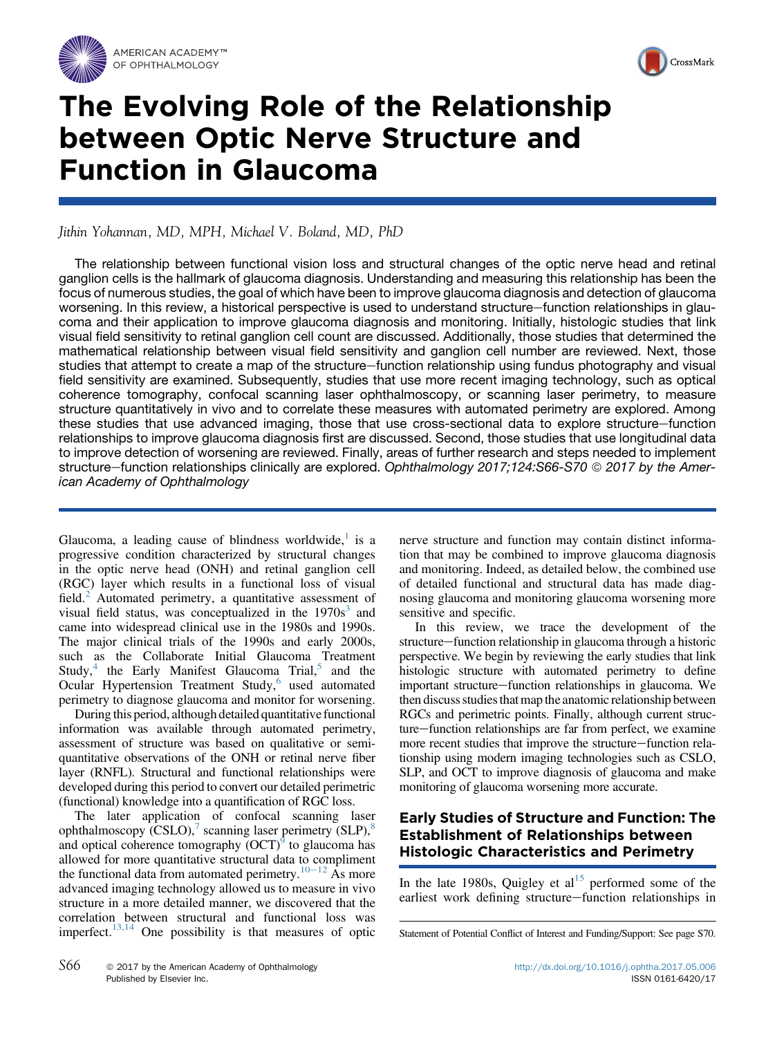



## The Evolving Role of the Relationship between Optic Nerve Structure and Function in Glaucoma

Jithin Yohannan, MD, MPH, Michael V. Boland, MD, PhD

The relationship between functional vision loss and structural changes of the optic nerve head and retinal ganglion cells is the hallmark of glaucoma diagnosis. Understanding and measuring this relationship has been the focus of numerous studies, the goal of which have been to improve glaucoma diagnosis and detection of glaucoma worsening. In this review, a historical perspective is used to understand structure–function relationships in glaucoma and their application to improve glaucoma diagnosis and monitoring. Initially, histologic studies that link visual field sensitivity to retinal ganglion cell count are discussed. Additionally, those studies that determined the mathematical relationship between visual field sensitivity and ganglion cell number are reviewed. Next, those studies that attempt to create a map of the structure–function relationship using fundus photography and visual field sensitivity are examined. Subsequently, studies that use more recent imaging technology, such as optical coherence tomography, confocal scanning laser ophthalmoscopy, or scanning laser perimetry, to measure structure quantitatively in vivo and to correlate these measures with automated perimetry are explored. Among these studies that use advanced imaging, those that use cross-sectional data to explore structure–function relationships to improve glaucoma diagnosis first are discussed. Second, those studies that use longitudinal data to improve detection of worsening are reviewed. Finally, areas of further research and steps needed to implement structure–function relationships clinically are explored. Ophthalmology 2017;124:S66-S70 © 2017 by the American Academy of Ophthalmology

Glaucoma, a leading cause of blindness worldwide, $<sup>1</sup>$  $<sup>1</sup>$  $<sup>1</sup>$  is a</sup> progressive condition characterized by structural changes in the optic nerve head (ONH) and retinal ganglion cell (RGC) layer which results in a functional loss of visual field.<sup>[2](#page--1-0)</sup> Automated perimetry, a quantitative assessment of visual field status, was conceptualized in the  $1970s<sup>3</sup>$  $1970s<sup>3</sup>$  $1970s<sup>3</sup>$  and came into widespread clinical use in the 1980s and 1990s. The major clinical trials of the 1990s and early 2000s, such as the Collaborate Initial Glaucoma Treatment Study, $4$  the Early Manifest Glaucoma Trial, $5$  and the Ocular Hypertension Treatment Study, $6$  used automated perimetry to diagnose glaucoma and monitor for worsening.

During this period, although detailed quantitative functional information was available through automated perimetry, assessment of structure was based on qualitative or semiquantitative observations of the ONH or retinal nerve fiber layer (RNFL). Structural and functional relationships were developed during this period to convert our detailed perimetric (functional) knowledge into a quantification of RGC loss.

The later application of confocal scanning laser ophthalmoscopy  $(CSLO)$ , scanning laser perimetry  $(SLP)$ ,<sup>[8](#page--1-0)</sup> and optical coherence tomography  $(OCT)^9$  $(OCT)^9$  to glaucoma has allowed for more quantitative structural data to compliment the functional data from automated perimetry.<sup>[10](#page--1-0)–[12](#page--1-0)</sup> As more advanced imaging technology allowed us to measure in vivo structure in a more detailed manner, we discovered that the correlation between structural and functional loss was imperfect.[13,14](#page--1-0) One possibility is that measures of optic nerve structure and function may contain distinct information that may be combined to improve glaucoma diagnosis and monitoring. Indeed, as detailed below, the combined use of detailed functional and structural data has made diagnosing glaucoma and monitoring glaucoma worsening more sensitive and specific.

In this review, we trace the development of the structure—function relationship in glaucoma through a historic perspective. We begin by reviewing the early studies that link histologic structure with automated perimetry to define important structure-function relationships in glaucoma. We then discuss studies that map the anatomic relationship between RGCs and perimetric points. Finally, although current structure–function relationships are far from perfect, we examine more recent studies that improve the structure-function relationship using modern imaging technologies such as CSLO, SLP, and OCT to improve diagnosis of glaucoma and make monitoring of glaucoma worsening more accurate.

## Early Studies of Structure and Function: The Establishment of Relationships between Histologic Characteristics and Perimetry

In the late 1980s, Quigley et  $al<sup>15</sup>$  $al<sup>15</sup>$  $al<sup>15</sup>$  performed some of the earliest work defining structure-function relationships in

Statement of Potential Conflict of Interest and Funding/Support: See page S70.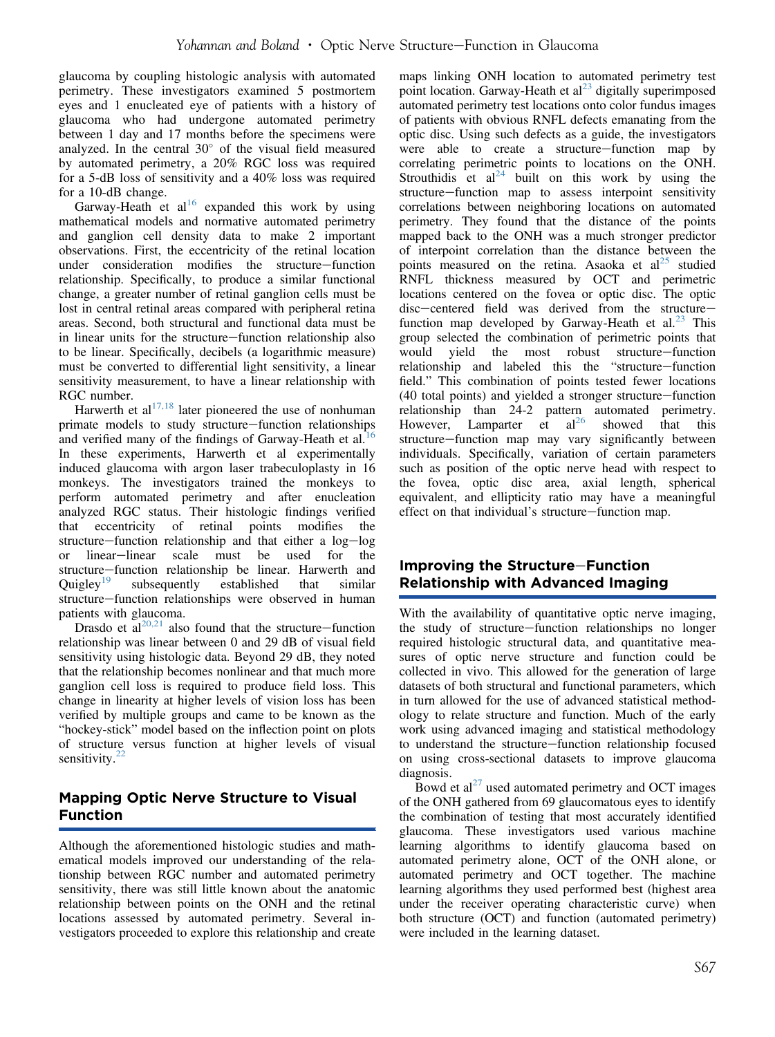glaucoma by coupling histologic analysis with automated perimetry. These investigators examined 5 postmortem eyes and 1 enucleated eye of patients with a history of glaucoma who had undergone automated perimetry between 1 day and 17 months before the specimens were analyzed. In the central  $30^{\circ}$  of the visual field measured by automated perimetry, a 20% RGC loss was required for a 5-dB loss of sensitivity and a 40% loss was required for a 10-dB change.

Garway-Heath et  $al^{16}$  $al^{16}$  $al^{16}$  expanded this work by using mathematical models and normative automated perimetry and ganglion cell density data to make 2 important observations. First, the eccentricity of the retinal location under consideration modifies the structure-function relationship. Specifically, to produce a similar functional change, a greater number of retinal ganglion cells must be lost in central retinal areas compared with peripheral retina areas. Second, both structural and functional data must be in linear units for the structure–function relationship also to be linear. Specifically, decibels (a logarithmic measure) must be converted to differential light sensitivity, a linear sensitivity measurement, to have a linear relationship with RGC number.

Harwerth et  $al^{17,18}$  $al^{17,18}$  $al^{17,18}$  later pioneered the use of nonhuman primate models to study structure–function relationships and verified many of the findings of Garway-Heath et al.<sup>[16](#page--1-0)</sup> In these experiments, Harwerth et al experimentally induced glaucoma with argon laser trabeculoplasty in 16 monkeys. The investigators trained the monkeys to perform automated perimetry and after enucleation analyzed RGC status. Their histologic findings verified that eccentricity of retinal points modifies the structure–function relationship and that either a log–log or linear-linear scale must be used for the structure–function relationship be linear. Harwerth and Quigley<sup>19</sup> subsequently established that similar subsequently established that similar structure–function relationships were observed in human patients with glaucoma.

Drasdo et  $aI^{20,21}$  $aI^{20,21}$  $aI^{20,21}$  also found that the structure–function relationship was linear between 0 and 29 dB of visual field sensitivity using histologic data. Beyond 29 dB, they noted that the relationship becomes nonlinear and that much more ganglion cell loss is required to produce field loss. This change in linearity at higher levels of vision loss has been verified by multiple groups and came to be known as the "hockey-stick" model based on the inflection point on plots of structure versus function at higher levels of visual sensitivity. $22$ 

## Mapping Optic Nerve Structure to Visual Function

Although the aforementioned histologic studies and mathematical models improved our understanding of the relationship between RGC number and automated perimetry sensitivity, there was still little known about the anatomic relationship between points on the ONH and the retinal locations assessed by automated perimetry. Several investigators proceeded to explore this relationship and create

maps linking ONH location to automated perimetry test point location. Garway-Heath et  $al<sup>23</sup>$  $al<sup>23</sup>$  $al<sup>23</sup>$  digitally superimposed automated perimetry test locations onto color fundus images of patients with obvious RNFL defects emanating from the optic disc. Using such defects as a guide, the investigators were able to create a structure-function map by correlating perimetric points to locations on the ONH. Strouthidis et  $al^{24}$  $al^{24}$  $al^{24}$  built on this work by using the structure-function map to assess interpoint sensitivity correlations between neighboring locations on automated perimetry. They found that the distance of the points mapped back to the ONH was a much stronger predictor of interpoint correlation than the distance between the points measured on the retina. Asaoka et  $al<sup>25</sup>$  $al<sup>25</sup>$  $al<sup>25</sup>$  studied RNFL thickness measured by OCT and perimetric locations centered on the fovea or optic disc. The optic disc-centered field was derived from the structurefunction map developed by Garway-Heath et al. $^{23}$  $^{23}$  $^{23}$  This group selected the combination of perimetric points that would yield the most robust structure-function relationship and labeled this the "structure-function field." This combination of points tested fewer locations  $(40$  total points) and yielded a stronger structure–function relationship than 24-2 pattern automated perimetry. However, Lamparter et  $al^{26}$  $al^{26}$  $al^{26}$  showed that this structure–function map may vary significantly between individuals. Specifically, variation of certain parameters such as position of the optic nerve head with respect to the fovea, optic disc area, axial length, spherical equivalent, and ellipticity ratio may have a meaningful effect on that individual's structure-function map.

## Improving the Structure-Function Relationship with Advanced Imaging

With the availability of quantitative optic nerve imaging, the study of structure–function relationships no longer required histologic structural data, and quantitative measures of optic nerve structure and function could be collected in vivo. This allowed for the generation of large datasets of both structural and functional parameters, which in turn allowed for the use of advanced statistical methodology to relate structure and function. Much of the early work using advanced imaging and statistical methodology to understand the structure-function relationship focused on using cross-sectional datasets to improve glaucoma diagnosis.

Bowd et  $al^{27}$  $al^{27}$  $al^{27}$  used automated perimetry and OCT images of the ONH gathered from 69 glaucomatous eyes to identify the combination of testing that most accurately identified glaucoma. These investigators used various machine learning algorithms to identify glaucoma based on automated perimetry alone, OCT of the ONH alone, or automated perimetry and OCT together. The machine learning algorithms they used performed best (highest area under the receiver operating characteristic curve) when both structure (OCT) and function (automated perimetry) were included in the learning dataset.